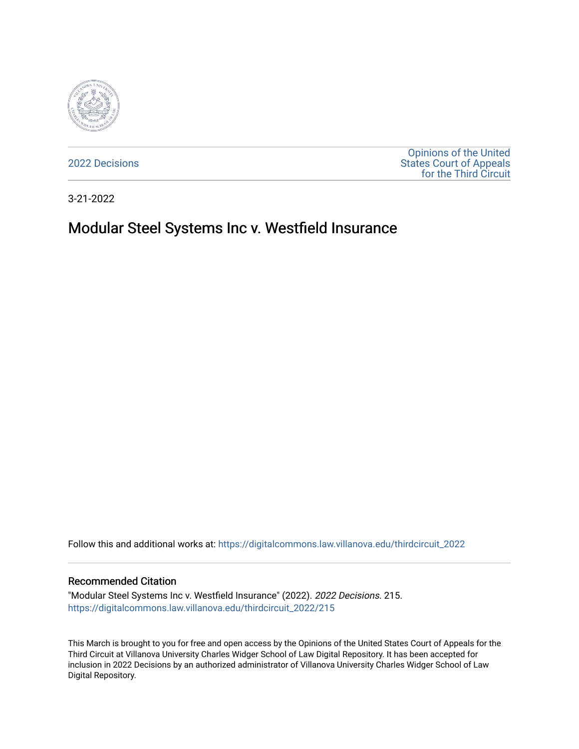

[2022 Decisions](https://digitalcommons.law.villanova.edu/thirdcircuit_2022)

[Opinions of the United](https://digitalcommons.law.villanova.edu/thirdcircuit)  [States Court of Appeals](https://digitalcommons.law.villanova.edu/thirdcircuit)  [for the Third Circuit](https://digitalcommons.law.villanova.edu/thirdcircuit) 

3-21-2022

# Modular Steel Systems Inc v. Westfield Insurance

Follow this and additional works at: [https://digitalcommons.law.villanova.edu/thirdcircuit\\_2022](https://digitalcommons.law.villanova.edu/thirdcircuit_2022?utm_source=digitalcommons.law.villanova.edu%2Fthirdcircuit_2022%2F215&utm_medium=PDF&utm_campaign=PDFCoverPages) 

#### Recommended Citation

"Modular Steel Systems Inc v. Westfield Insurance" (2022). 2022 Decisions. 215. [https://digitalcommons.law.villanova.edu/thirdcircuit\\_2022/215](https://digitalcommons.law.villanova.edu/thirdcircuit_2022/215?utm_source=digitalcommons.law.villanova.edu%2Fthirdcircuit_2022%2F215&utm_medium=PDF&utm_campaign=PDFCoverPages)

This March is brought to you for free and open access by the Opinions of the United States Court of Appeals for the Third Circuit at Villanova University Charles Widger School of Law Digital Repository. It has been accepted for inclusion in 2022 Decisions by an authorized administrator of Villanova University Charles Widger School of Law Digital Repository.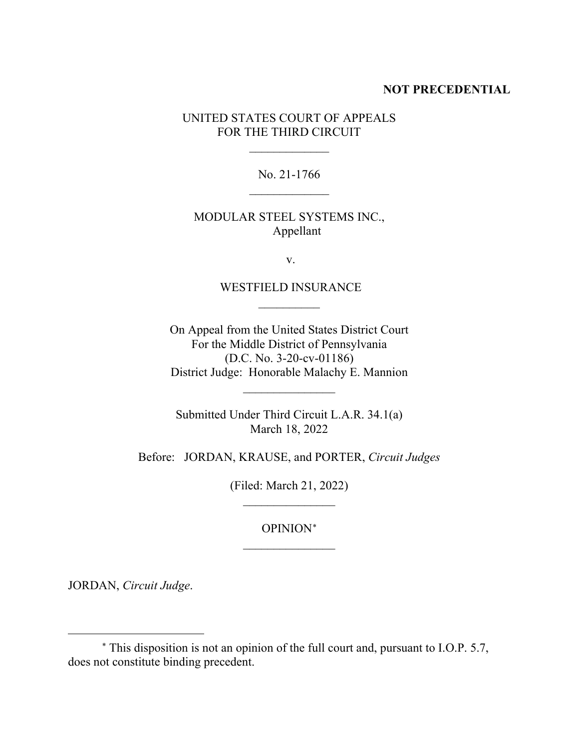#### **NOT PRECEDENTIAL**

UNITED STATES COURT OF APPEALS FOR THE THIRD CIRCUIT

> No. 21-1766  $\overline{\phantom{a}}$

> $\frac{1}{2}$

MODULAR STEEL SYSTEMS INC., Appellant

v.

#### WESTFIELD INSURANCE  $\frac{1}{2}$

On Appeal from the United States District Court For the Middle District of Pennsylvania (D.C. No. 3-20-cv-01186) District Judge: Honorable Malachy E. Mannion

 $\overline{\phantom{a}}$  , where  $\overline{\phantom{a}}$ 

Submitted Under Third Circuit L.A.R. 34.1(a) March 18, 2022

Before: JORDAN, KRAUSE, and PORTER, *Circuit Judges*

(Filed: March 21, 2022)  $\overline{\phantom{a}}$  , where  $\overline{\phantom{a}}$ 

> OPINION<sup>∗</sup>  $\frac{1}{2}$

JORDAN, *Circuit Judge*.

<sup>∗</sup> This disposition is not an opinion of the full court and, pursuant to I.O.P. 5.7, does not constitute binding precedent.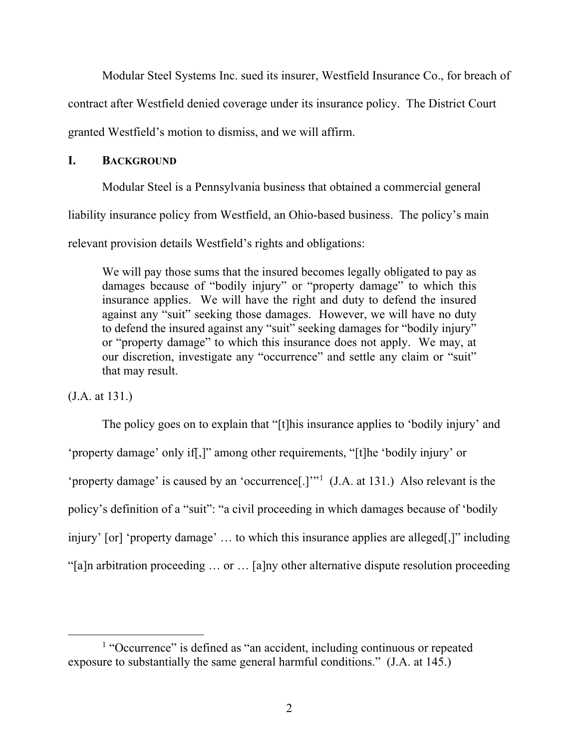Modular Steel Systems Inc. sued its insurer, Westfield Insurance Co., for breach of contract after Westfield denied coverage under its insurance policy. The District Court granted Westfield's motion to dismiss, and we will affirm.

### **I. BACKGROUND**

Modular Steel is a Pennsylvania business that obtained a commercial general liability insurance policy from Westfield, an Ohio-based business. The policy's main relevant provision details Westfield's rights and obligations:

We will pay those sums that the insured becomes legally obligated to pay as damages because of "bodily injury" or "property damage" to which this insurance applies. We will have the right and duty to defend the insured against any "suit" seeking those damages. However, we will have no duty to defend the insured against any "suit" seeking damages for "bodily injury" or "property damage" to which this insurance does not apply. We may, at our discretion, investigate any "occurrence" and settle any claim or "suit" that may result.

(J.A. at 131.)

The policy goes on to explain that "[t]his insurance applies to 'bodily injury' and 'property damage' only if[,]" among other requirements, "[t]he 'bodily injury' or 'property damage' is caused by an 'occurrence[.]"<sup>1</sup> (J.A. at 131.) Also relevant is the policy's definition of a "suit": "a civil proceeding in which damages because of 'bodily injury' [or] 'property damage' … to which this insurance applies are alleged[,]" including "[a]n arbitration proceeding … or … [a]ny other alternative dispute resolution proceeding

<sup>&</sup>lt;sup>1</sup> "Occurrence" is defined as "an accident, including continuous or repeated exposure to substantially the same general harmful conditions." (J.A. at 145.)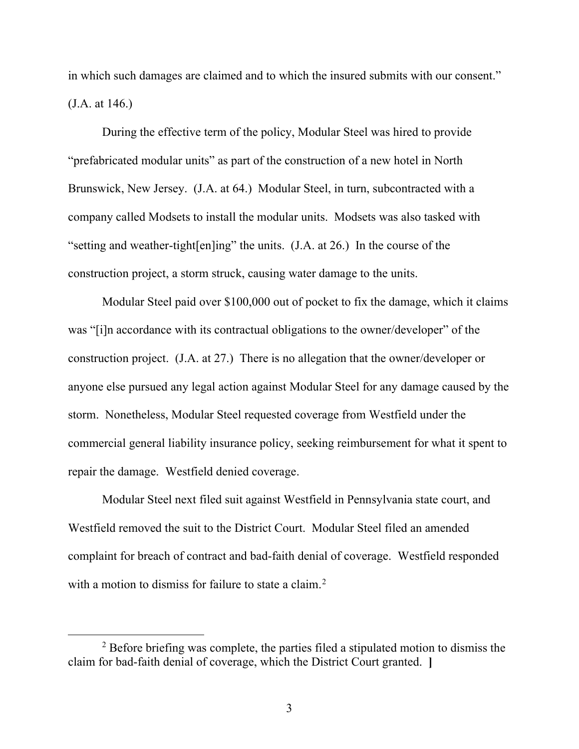in which such damages are claimed and to which the insured submits with our consent." (J.A. at 146.)

During the effective term of the policy, Modular Steel was hired to provide "prefabricated modular units" as part of the construction of a new hotel in North Brunswick, New Jersey. (J.A. at 64.) Modular Steel, in turn, subcontracted with a company called Modsets to install the modular units. Modsets was also tasked with "setting and weather-tight[en]ing" the units. (J.A. at 26.) In the course of the construction project, a storm struck, causing water damage to the units.

Modular Steel paid over \$100,000 out of pocket to fix the damage, which it claims was "[i]n accordance with its contractual obligations to the owner/developer" of the construction project. (J.A. at 27.) There is no allegation that the owner/developer or anyone else pursued any legal action against Modular Steel for any damage caused by the storm. Nonetheless, Modular Steel requested coverage from Westfield under the commercial general liability insurance policy, seeking reimbursement for what it spent to repair the damage. Westfield denied coverage.

Modular Steel next filed suit against Westfield in Pennsylvania state court, and Westfield removed the suit to the District Court. Modular Steel filed an amended complaint for breach of contract and bad-faith denial of coverage. Westfield responded with a motion to dismiss for failure to state a claim.<sup>2</sup>

<sup>&</sup>lt;sup>2</sup> Before briefing was complete, the parties filed a stipulated motion to dismiss the claim for bad-faith denial of coverage, which the District Court granted. **]**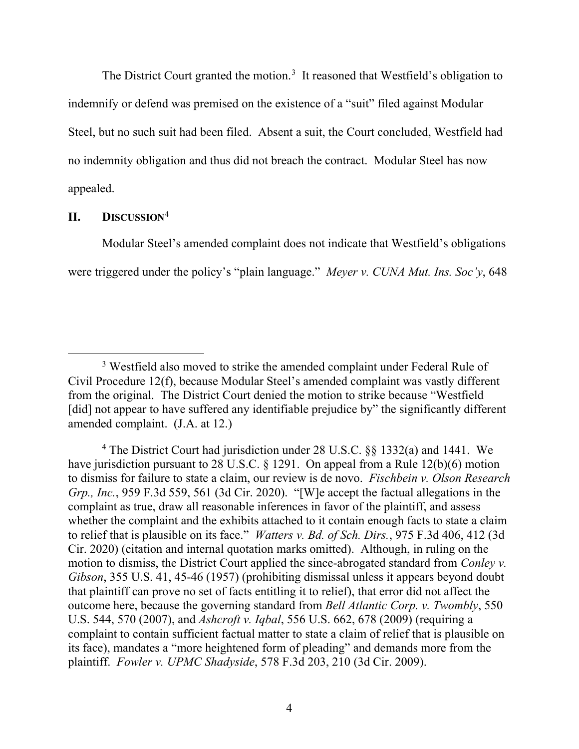The District Court granted the motion.<sup>3</sup> It reasoned that Westfield's obligation to indemnify or defend was premised on the existence of a "suit" filed against Modular Steel, but no such suit had been filed. Absent a suit, the Court concluded, Westfield had no indemnity obligation and thus did not breach the contract. Modular Steel has now appealed.

## **II. DISCUSSION**<sup>4</sup>

Modular Steel's amended complaint does not indicate that Westfield's obligations were triggered under the policy's "plain language." *Meyer v. CUNA Mut. Ins. Soc'y*, 648

<sup>&</sup>lt;sup>3</sup> Westfield also moved to strike the amended complaint under Federal Rule of Civil Procedure 12(f), because Modular Steel's amended complaint was vastly different from the original. The District Court denied the motion to strike because "Westfield [did] not appear to have suffered any identifiable prejudice by" the significantly different amended complaint. (J.A. at 12.)

<sup>4</sup> The District Court had jurisdiction under 28 U.S.C. §§ 1332(a) and 1441. We have jurisdiction pursuant to 28 U.S.C. § 1291. On appeal from a Rule 12(b)(6) motion to dismiss for failure to state a claim, our review is de novo. *Fischbein v. Olson Research Grp., Inc.*, 959 F.3d 559, 561 (3d Cir. 2020). "[W]e accept the factual allegations in the complaint as true, draw all reasonable inferences in favor of the plaintiff, and assess whether the complaint and the exhibits attached to it contain enough facts to state a claim to relief that is plausible on its face." *Watters v. Bd. of Sch. Dirs.*, 975 F.3d 406, 412 (3d Cir. 2020) (citation and internal quotation marks omitted). Although, in ruling on the motion to dismiss, the District Court applied the since-abrogated standard from *Conley v. Gibson*, 355 U.S. 41, 45-46 (1957) (prohibiting dismissal unless it appears beyond doubt that plaintiff can prove no set of facts entitling it to relief), that error did not affect the outcome here, because the governing standard from *Bell Atlantic Corp. v. Twombly*, 550 U.S. 544, 570 (2007), and *Ashcroft v. Iqbal*, 556 U.S. 662, 678 (2009) (requiring a complaint to contain sufficient factual matter to state a claim of relief that is plausible on its face), mandates a "more heightened form of pleading" and demands more from the plaintiff. *Fowler v. UPMC Shadyside*, 578 F.3d 203, 210 (3d Cir. 2009).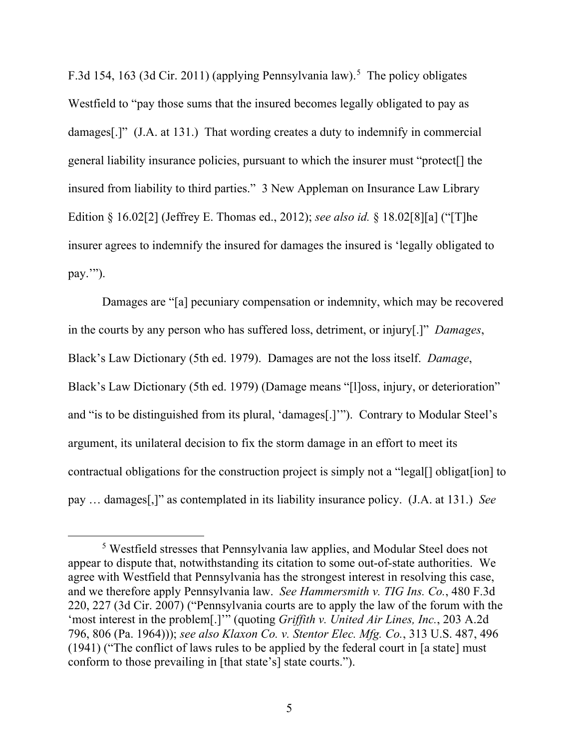F.3d 154, 163 (3d Cir. 2011) (applying Pennsylvania law).<sup>5</sup> The policy obligates Westfield to "pay those sums that the insured becomes legally obligated to pay as damages[.]" (J.A. at 131.) That wording creates a duty to indemnify in commercial general liability insurance policies, pursuant to which the insurer must "protect[] the insured from liability to third parties." 3 New Appleman on Insurance Law Library Edition § 16.02[2] (Jeffrey E. Thomas ed., 2012); *see also id.* § 18.02[8][a] ("[T]he insurer agrees to indemnify the insured for damages the insured is 'legally obligated to pay.'").

Damages are "[a] pecuniary compensation or indemnity, which may be recovered in the courts by any person who has suffered loss, detriment, or injury[.]" *Damages*, Black's Law Dictionary (5th ed. 1979). Damages are not the loss itself. *Damage*, Black's Law Dictionary (5th ed. 1979) (Damage means "[l]oss, injury, or deterioration" and "is to be distinguished from its plural, 'damages[.]'"). Contrary to Modular Steel's argument, its unilateral decision to fix the storm damage in an effort to meet its contractual obligations for the construction project is simply not a "legal<sup>[]</sup> obligat[ion] to pay … damages[,]" as contemplated in its liability insurance policy. (J.A. at 131.) *See*

<sup>5</sup> Westfield stresses that Pennsylvania law applies, and Modular Steel does not appear to dispute that, notwithstanding its citation to some out-of-state authorities. We agree with Westfield that Pennsylvania has the strongest interest in resolving this case, and we therefore apply Pennsylvania law. *See Hammersmith v. TIG Ins. Co.*, 480 F.3d 220, 227 (3d Cir. 2007) ("Pennsylvania courts are to apply the law of the forum with the 'most interest in the problem[.]'" (quoting *Griffith v. United Air Lines, Inc.*, 203 A.2d 796, 806 (Pa. 1964))); *see also Klaxon Co. v. Stentor Elec. Mfg. Co.*, 313 U.S. 487, 496 (1941) ("The conflict of laws rules to be applied by the federal court in [a state] must conform to those prevailing in [that state's] state courts.").